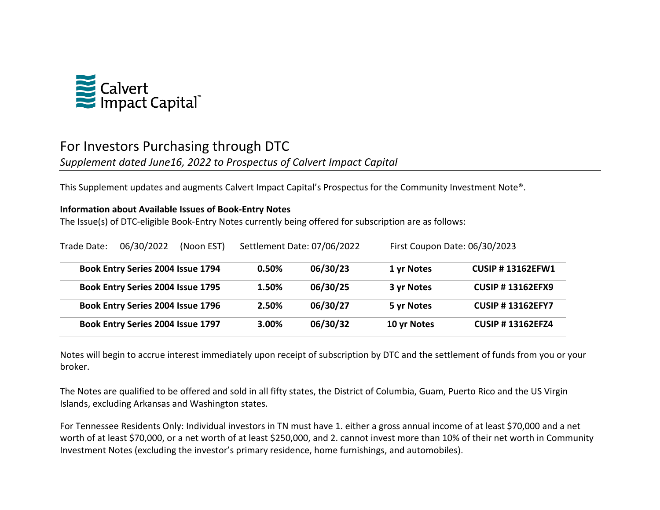

## For Investors Purchasing through DTC *Supplement dated June16, 2022 to Prospectus of Calvert Impact Capital*

This Supplement updates and augments Calvert Impact Capital's Prospectus for the Community Investment Note®.

## **Information about Available Issues of Book-Entry Notes**

The Issue(s) of DTC-eligible Book-Entry Notes currently being offered for subscription are as follows:

| Trade Date:                       | 06/30/2022<br>(Noon EST)          |  | Settlement Date: 07/06/2022 |          | First Coupon Date: 06/30/2023 |                          |
|-----------------------------------|-----------------------------------|--|-----------------------------|----------|-------------------------------|--------------------------|
| Book Entry Series 2004 Issue 1794 |                                   |  | 0.50%                       | 06/30/23 | 1 yr Notes                    | <b>CUSIP #13162EFW1</b>  |
|                                   | Book Entry Series 2004 Issue 1795 |  | 1.50%                       | 06/30/25 | 3 yr Notes                    | <b>CUSIP #13162EFX9</b>  |
|                                   | Book Entry Series 2004 Issue 1796 |  | 2.50%                       | 06/30/27 | 5 yr Notes                    | <b>CUSIP # 13162EFY7</b> |
|                                   | Book Entry Series 2004 Issue 1797 |  | 3.00%                       | 06/30/32 | 10 yr Notes                   | <b>CUSIP #13162EFZ4</b>  |

Notes will begin to accrue interest immediately upon receipt of subscription by DTC and the settlement of funds from you or your broker.

The Notes are qualified to be offered and sold in all fifty states, the District of Columbia, Guam, Puerto Rico and the US Virgin Islands, excluding Arkansas and Washington states.

For Tennessee Residents Only: Individual investors in TN must have 1. either a gross annual income of at least \$70,000 and a net worth of at least \$70,000, or a net worth of at least \$250,000, and 2. cannot invest more than 10% of their net worth in Community Investment Notes (excluding the investor's primary residence, home furnishings, and automobiles).